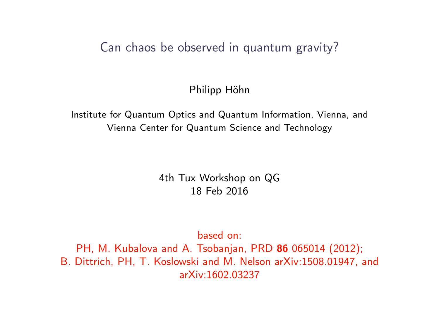#### Can chaos be observed in quantum gravity?

Philipp Höhn

Institute for Quantum Optics and Quantum Information, Vienna, and Vienna Center for Quantum Science and Technology

> 4th Tux Workshop on QG 18 Feb 2016

> > based on:

PH, M. Kubalova and A. Tsobanjan, PRD 86 065014 (2012); B. Dittrich, PH, T. Koslowski and M. Nelson arXiv:1508.01947, and arXiv:1602.03237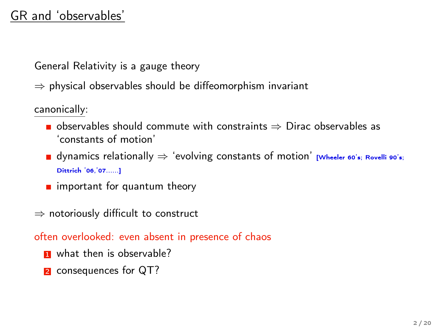# GR and 'observables'

General Relativity is a gauge theory

 $\Rightarrow$  physical observables should be diffeomorphism invariant

canonically:

- **■** observables should commute with constraints  $\Rightarrow$  Dirac observables as 'constants of motion'
- $\blacksquare$  dynamics relationally  $\Rightarrow$  'evolving constants of motion' [Wheeler 60's; Rovelli 90's; Dittrich '06,'07......]
- $\blacksquare$  important for quantum theory
- ⇒ notoriously difficult to construct

often overlooked: even absent in presence of chaos

- **1** what then is observable?
- **2** consequences for QT?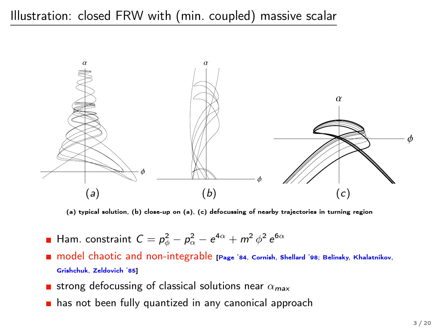# Illustration: closed FRW with (min. coupled) massive scalar



(a) typical solution, (b) close-up on (a), (c) defocussing of nearby trajectories in turning region

- Ham. constraint  $C = p_\phi^2 p_\alpha^2 \mathrm{e}^{4\alpha} + m^2\,\phi^2\,\mathrm{e}^{6\alpha}$
- model chaotic and non-integrable [Page '84, Cornish, Shellard '98; Belinsky, Khalatnikov, Grishchuk, Zeldovich '85]
- **strong defocussing of classical solutions near**  $\alpha_{\text{max}}$
- has not been fully quantized in any canonical approach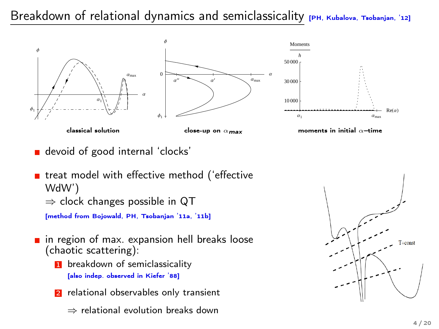### Breakdown of relational dynamics and semiclassicality  $[PH, Kubalova, Tsobanjan, '12]$



devoid of good internal 'clocks'

```
■ treat model with effective method ('effective
WdW')
\Rightarrow clock changes possible in QT
[method from Bojowald, PH, Tsobanjan '11a, '11b]
```
- **n** in region of max. expansion hell breaks loose (chaotic scattering):
	- **1** breakdown of semiclassicality [also indep. observed in Kiefer '88]
	- 2 relational observables only transient
		- ⇒ relational evolution breaks down

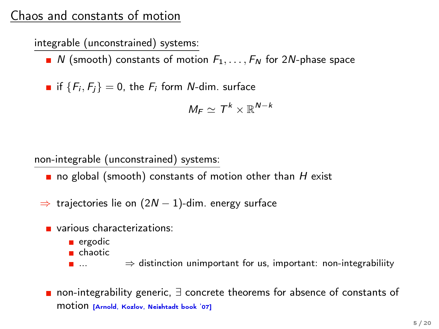# Chaos and constants of motion

integrable (unconstrained) systems:

 $\blacksquare$  N (smooth) constants of motion  $F_1, \ldots, F_N$  for 2N-phase space

if  ${F_i, F_i} = 0$ , the  $F_i$  form *N*-dim. surface

$$
\textit{M}_\textit{F} \simeq \textit{T}^{\textit{k}} \times \mathbb{R}^{\textit{N}-\textit{k}}
$$

non-integrable (unconstrained) systems:

- no global (smooth) constants of motion other than  $H$  exist
- $\Rightarrow$  trajectories lie on (2N 1)-dim. energy surface
	- various characterizations:
		- ergodic
		- chaotic
		- ...  $\Rightarrow$  distinction unimportant for us, important: non-integrabiliity
	- non-integrability generic,  $\exists$  concrete theorems for absence of constants of motion [Arnold, Kozlov, Neishtadt book '07]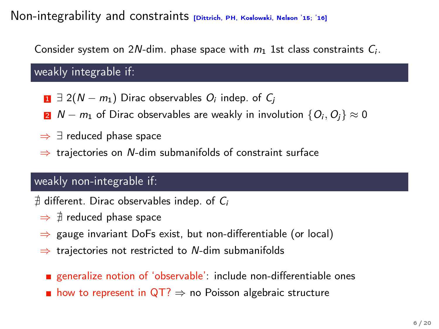#### Non-integrability and constraints *[Dittrich, PH, Koslowski, Nelson '15; '16]*

Consider system on 2N-dim. phase space with  $m_1$  1st class constraints  $C_i$ .

weakly integrable if:

- $\mathbf{1} \exists 2(N m_1)$  Dirac observables  $O_i$  indep. of  $C_i$
- 2 *N* −  $m_1$  of Dirac observables are weakly in involution  $\{O_i, O_i\} \approx 0$
- ⇒ ∃ reduced phase space
- $\Rightarrow$  trajectories on N-dim submanifolds of constraint surface

#### weakly non-integrable if:

 $\#$  different. Dirac observables indep. of  $C_i$ 

- $\Rightarrow$   $\#$  reduced phase space
- ⇒ gauge invariant DoFs exist, but non-differentiable (or local)
- $\Rightarrow$  trajectories not restricted to N-dim submanifolds
	- generalize notion of 'observable': include non-differentiable ones
	- **n** how to represent in  $\mathsf{QT}?\Rightarrow$  no Poisson algebraic structure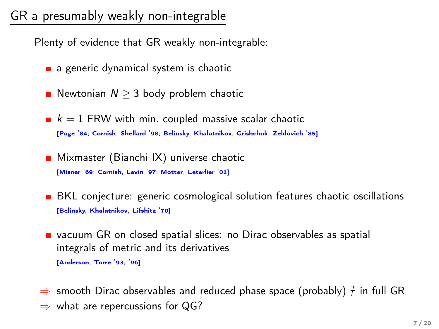# GR a presumably weakly non-integrable

Plenty of evidence that GR weakly non-integrable:

- a generic dynamical system is chaotic
- Newtonian  $N > 3$  body problem chaotic
- $k = 1$  FRW with min. coupled massive scalar chaotic [Page '84; Cornish, Shellard '98; Belinsky, Khalatnikov, Grishchuk, Zeldovich '85]
- Mixmaster (Bianchi IX) universe chaotic [Misner '69; Cornish, Levin '97; Motter, Leterlier '01]
- **BKL** conjecture: generic cosmological solution features chaotic oscillations [Belinsky, Khalatnikov, Lifshitz '70]
- vacuum GR on closed spatial slices: no Dirac observables as spatial integrals of metric and its derivatives [Anderson, Torre '93; '96]
- $\Rightarrow$  smooth Dirac observables and reduced phase space (probably)  $\#$  in full GR
- $\Rightarrow$  what are repercussions for QG?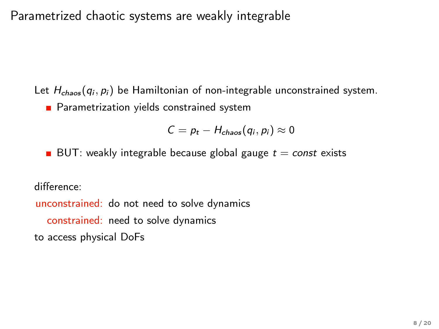Parametrized chaotic systems are weakly integrable

Let  $H_{chaos}(q_i, p_i)$  be Hamiltonian of non-integrable unconstrained system. **Parametrization yields constrained system** 

$$
C = p_t - H_{chaos}(q_i, p_i) \approx 0
$$

BUT: weakly integrable because global gauge  $t = const$  exists

difference:

unconstrained: do not need to solve dynamics constrained: need to solve dynamics to access physical DoFs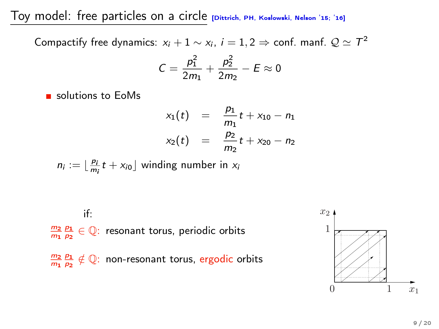Toy model: free particles on a circle [Dittrich, PH, Koslowski, Nelson '15; '16]

Compactify free dynamics:  $x_i + 1 \sim x_i$ ,  $i = 1, 2 \Rightarrow$  conf. manf.  $\mathcal{Q} \simeq \mathcal{T}^2$ 

$$
C = \frac{p_1^2}{2m_1} + \frac{p_2^2}{2m_2} - E \approx 0
$$

solutions to EoMs

$$
x_1(t) = \frac{p_1}{m_1}t + x_{10} - n_1
$$
  

$$
x_2(t) = \frac{p_2}{m_2}t + x_{20} - n_2
$$

 $n_i := \lfloor \frac{p_i}{m_i} t + x_{i0} \rfloor$  winding number in  $x_i$ 

if:  $\frac{m_2}{m_1}\frac{p_1}{p_2}\in\mathbb{Q}$ : resonant torus, periodic orbits  $\frac{m_2}{m_1}\frac{p_1}{p_2}\notin \mathbb{Q}$ : non-resonant torus, ergodic orbits

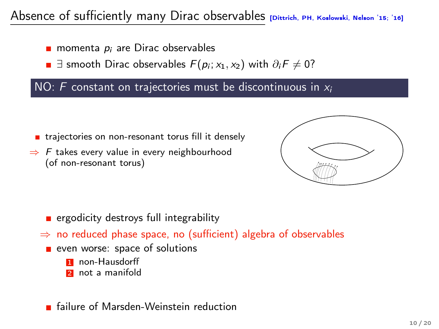# Absence of sufficiently many Dirac observables [Dittrich, PH, Koslowski, Nelson '15; '16]

- **momenta**  $p_i$  are Dirac observables
- $\exists$  smooth Dirac observables  $F(p_i; x_1, x_2)$  with  $\partial_i F \neq 0$ ?

#### NO: F constant on trajectories must be discontinuous in  $x_i$

- trajectories on non-resonant torus fill it densely
- $\Rightarrow$  F takes every value in every neighbourhood (of non-resonant torus)



- ergodicity destroys full integrability
- $\Rightarrow$  no reduced phase space, no (sufficient) algebra of observables
	- **executed:** space of solutions
		- **1** non-Hausdorff
		- **2** not a manifold

#### **Failure of Marsden-Weinstein reduction**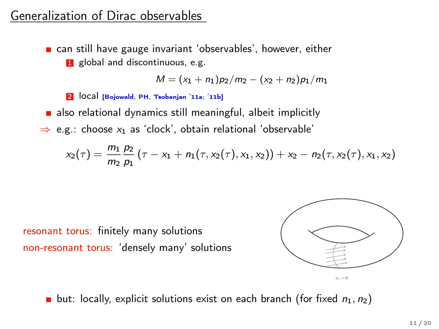# Generalization of Dirac observables

can still have gauge invariant 'observables', however, either **1** global and discontinuous, e.g.

$$
M = (x_1 + n_1)p_2/m_2 - (x_2 + n_2)p_1/m_1
$$

2 local [Bojowald, PH, Tsobanjan '11a; '11b]

also relational dynamics still meaningful, albeit implicitly

 $\Rightarrow$  e.g.: choose  $x_1$  as 'clock', obtain relational 'observable'

$$
x_2(\tau) = \frac{m_1}{m_2} \frac{p_2}{p_1} (\tau - x_1 + n_1(\tau, x_2(\tau), x_1, x_2)) + x_2 - n_2(\tau, x_2(\tau), x_1, x_2)
$$

resonant torus: finitely many solutions non-resonant torus: 'densely many' solutions



**but:** locally, explicit solutions exist on each branch (for fixed  $n_1, n_2$ )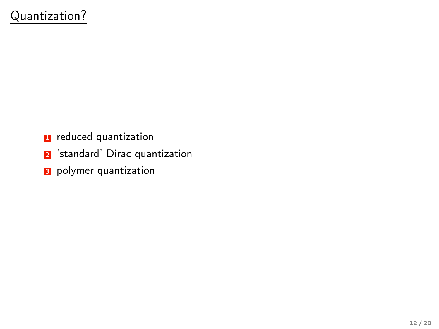- **1** reduced quantization
- 2 'standard' Dirac quantization
- **3** polymer quantization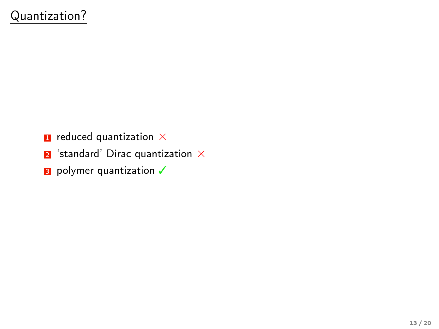- $\blacksquare$  reduced quantization  $\times$
- $\blacksquare$  'standard' Dirac quantization  $\times$
- 3 polymer quantization √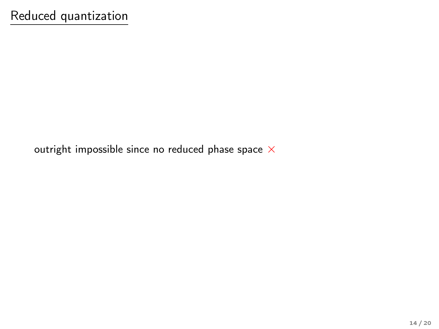outright impossible since no reduced phase space  $\times$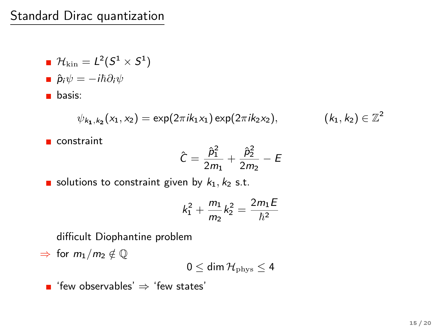## Standard Dirac quantization

\n- $$
\mathcal{H}_{\text{kin}} = L^2(S^1 \times S^1)
$$
\n- $\hat{p}_i \psi = -i\hbar \partial_i \psi$
\n- basis:
\n

$$
\psi_{k_1,k_2}(x_1,x_2) = \exp(2\pi i k_1 x_1) \exp(2\pi i k_2 x_2), \qquad (k_1,k_2) \in \mathbb{Z}^2
$$

constraint

$$
\hat{C} = \frac{\hat{p}_1^2}{2m_1} + \frac{\hat{p}_2^2}{2m_2} - E
$$

$$
(k_1,k_2)\in\mathbb{Z}^2
$$

solutions to constraint given by  $k_1, k_2$  s.t.

$$
k_1^2 + \frac{m_1}{m_2}k_2^2 = \frac{2m_1E}{\hbar^2}
$$

difficult Diophantine problem

 $\Rightarrow$  for  $m_1/m_2 \notin \mathbb{Q}$ 

$$
0 \leq \text{dim} \, \mathcal{H}_{\rm phys} \leq 4
$$

■ 'few observables'  $\Rightarrow$  'few states'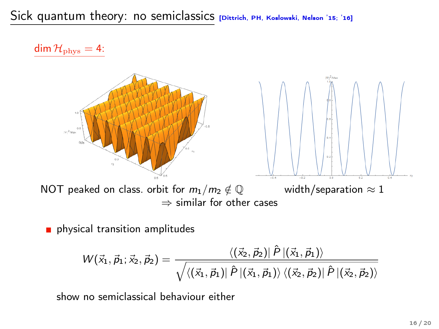dim  $\mathcal{H}_{\text{phys}} = 4$ :



physical transition amplitudes

$$
W(\vec{x}_1, \vec{p}_1; \vec{x}_2, \vec{p}_2) = \frac{\langle (\vec{x}_2, \vec{p}_2) | \hat{P} | (\vec{x}_1, \vec{p}_1) \rangle}{\sqrt{\langle (\vec{x}_1, \vec{p}_1) | \hat{P} | (\vec{x}_1, \vec{p}_1) \rangle \langle (\vec{x}_2, \vec{p}_2) | \hat{P} | (\vec{x}_2, \vec{p}_2) \rangle}}
$$

show no semiclassical behaviour either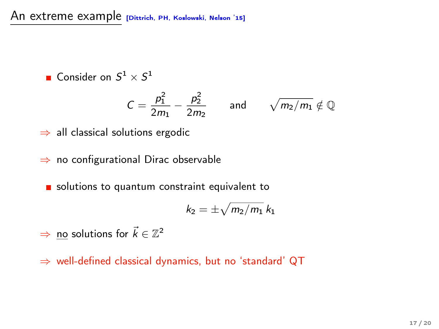An extreme example *[Dittrich, PH, Koslowski, Nelson '15]* 

Consider on  $S^1 \times S^1$ 

$$
C=\frac{p_1^2}{2m_1}-\frac{p_2^2}{2m_2} \quad \text{and} \quad \sqrt{m_2/m_1} \notin \mathbb{Q}
$$

⇒ all classical solutions ergodic

⇒ no configurational Dirac observable

solutions to quantum constraint equivalent to

$$
k_2=\pm\sqrt{m_2/m_1}\,k_1
$$

- $\Rightarrow$  no solutions for  $\vec{k} \in \mathbb{Z}^2$
- ⇒ well-defined classical dynamics, but no 'standard' QT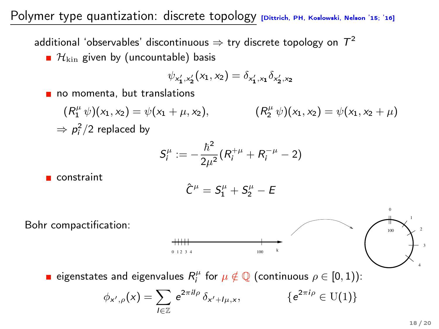### Polymer type quantization: discrete topology [Dittrich, PH, Koslowski, Nelson '15; '16]

additional 'observables' discontinuous  $\Rightarrow$  try discrete topology on  $\, T^2 \,$ 

 $\blacksquare$   $\mathcal{H}_{\text{kin}}$  given by (uncountable) basis

$$
\psi_{x'_1,x'_2}(x_1,x_2)=\delta_{x'_1,x_1}\delta_{x'_2,x_2}
$$

no momenta, but translations

$$
(R_1^{\mu} \psi)(x_1, x_2) = \psi(x_1 + \mu, x_2), \qquad (R_2^{\mu} \psi)(x_1, x_2) = \psi(x_1, x_2 + \mu)
$$
  
\n
$$
\Rightarrow \rho_i^2/2 \text{ replaced by}
$$

$$
S_i^{\mu} := -\frac{\hbar^2}{2\mu^2} (R_i^{+\mu} + R_i^{-\mu} - 2)
$$

constraint

$$
\hat{C}^{\mu}=S^{\mu}_1+S^{\mu}_2-E
$$



eigenstates and eigenvalues  $R_i^\mu$  for  $\mu \notin \mathbb{Q}$  (continuous  $\rho \in [0,1)$ ):

$$
\phi_{x',\rho}(x) = \sum_{l \in \mathbb{Z}} e^{2\pi i l\rho} \, \delta_{x'+l\mu,x}, \qquad \qquad \{e
$$

 $\{e^{2\pi i \rho} \in U(1)\}\$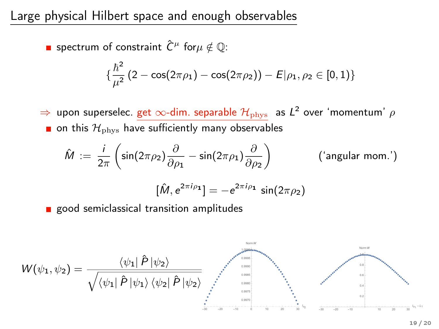Large physical Hilbert space and enough observables

spectrum of constraint  $\hat{C}^\mu$  for $\mu \notin \mathbb{Q}$ :

$$
\{\frac{\hbar^2}{\mu^2}(2-\cos(2\pi\rho_1)-\cos(2\pi\rho_2))-E|\rho_1,\rho_2\in[0,1)\}
$$

 $\Rightarrow$  upon superselec. get  $\infty$ -dim. separable  ${\cal H}_{\rm phys}$  as  ${\cal L}^2$  over 'momentum'  $\rho$  $\blacksquare$  on this  $\mathcal{H}_{\text{phys}}$  have sufficiently many observables

$$
\hat{M} := \frac{i}{2\pi} \left( \sin(2\pi \rho_2) \frac{\partial}{\partial \rho_1} - \sin(2\pi \rho_1) \frac{\partial}{\partial \rho_2} \right) \qquad \qquad \text{('angular mom.)}
$$

$$
[\hat{M}, e^{2\pi i \rho_1}] = -e^{2\pi i \rho_1} \sin(2\pi \rho_2)
$$

**good semiclassical transition amplitudes** 

$$
W(\psi_1, \psi_2) = \frac{\langle \psi_1 | \hat{P} | \psi_2 \rangle}{\sqrt{\langle \psi_1 | \hat{P} | \psi_1 \rangle \langle \psi_2 | \hat{P} | \psi_2 \rangle}}
$$